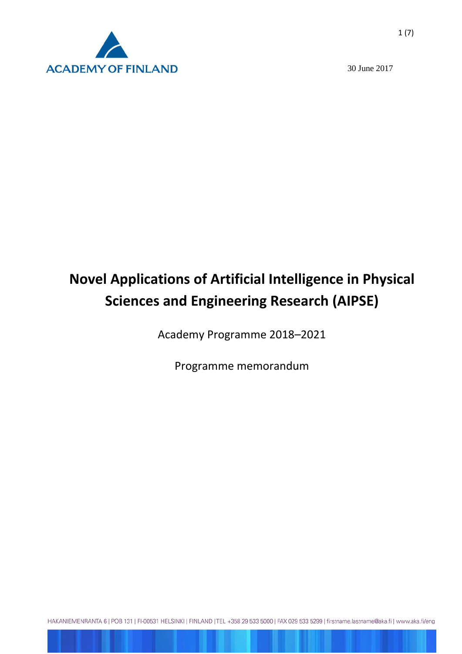

30 June 2017

# **Novel Applications of Artificial Intelligence in Physical Sciences and Engineering Research (AIPSE)**

Academy Programme 2018–2021

Programme memorandum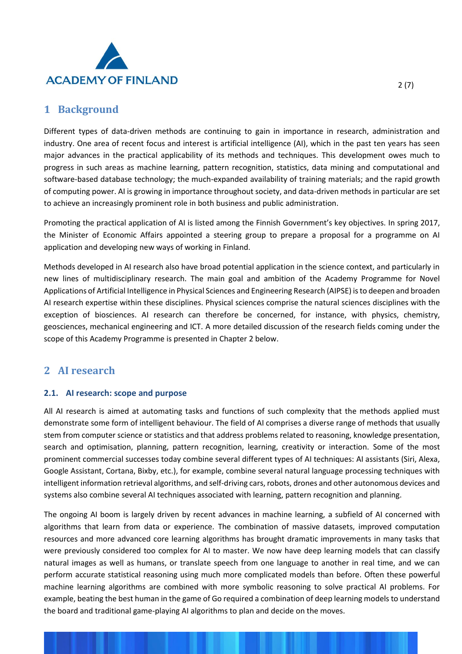

### **1 Background**

Different types of data-driven methods are continuing to gain in importance in research, administration and industry. One area of recent focus and interest is artificial intelligence (AI), which in the past ten years has seen major advances in the practical applicability of its methods and techniques. This development owes much to progress in such areas as machine learning, pattern recognition, statistics, data mining and computational and software-based database technology; the much-expanded availability of training materials; and the rapid growth of computing power. AI is growing in importance throughout society, and data-driven methods in particular are set to achieve an increasingly prominent role in both business and public administration.

Promoting the practical application of AI is listed among the Finnish Government's key objectives. In spring 2017, the Minister of Economic Affairs appointed a steering group to prepare a proposal for a programme on AI application and developing new ways of working in Finland.

Methods developed in AI research also have broad potential application in the science context, and particularly in new lines of multidisciplinary research. The main goal and ambition of the Academy Programme for Novel Applications of Artificial Intelligence in Physical Sciences and Engineering Research (AIPSE) is to deepen and broaden AI research expertise within these disciplines. Physical sciences comprise the natural sciences disciplines with the exception of biosciences. AI research can therefore be concerned, for instance, with physics, chemistry, geosciences, mechanical engineering and ICT. A more detailed discussion of the research fields coming under the scope of this Academy Programme is presented in Chapter 2 below.

## **2 AI research**

#### **2.1. AI research: scope and purpose**

All AI research is aimed at automating tasks and functions of such complexity that the methods applied must demonstrate some form of intelligent behaviour. The field of AI comprises a diverse range of methods that usually stem from computer science or statistics and that address problems related to reasoning, knowledge presentation, search and optimisation, planning, pattern recognition, learning, creativity or interaction. Some of the most prominent commercial successes today combine several different types of AI techniques: AI assistants (Siri, Alexa, Google Assistant, Cortana, Bixby, etc.), for example, combine several natural language processing techniques with intelligent information retrieval algorithms, and self-driving cars, robots, drones and other autonomous devices and systems also combine several AI techniques associated with learning, pattern recognition and planning.

The ongoing AI boom is largely driven by recent advances in machine learning, a subfield of AI concerned with algorithms that learn from data or experience. The combination of massive datasets, improved computation resources and more advanced core learning algorithms has brought dramatic improvements in many tasks that were previously considered too complex for AI to master. We now have deep learning models that can classify natural images as well as humans, or translate speech from one language to another in real time, and we can perform accurate statistical reasoning using much more complicated models than before. Often these powerful machine learning algorithms are combined with more symbolic reasoning to solve practical AI problems. For example, beating the best human in the game of Go required a combination of deep learning models to understand the board and traditional game-playing AI algorithms to plan and decide on the moves.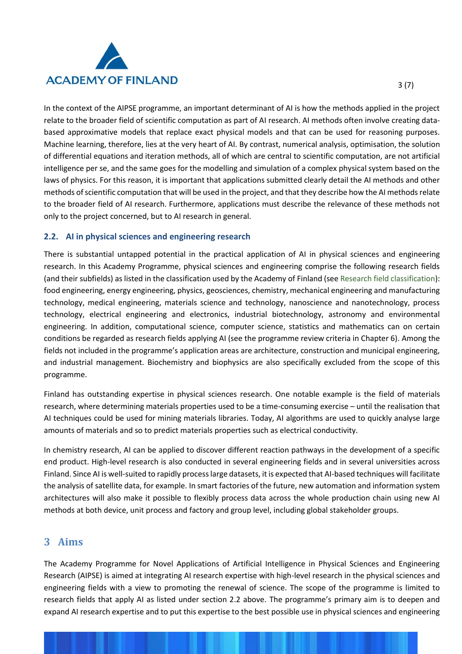

In the context of the AIPSE programme, an important determinant of AI is how the methods applied in the project relate to the broader field of scientific computation as part of AI research. AI methods often involve creating databased approximative models that replace exact physical models and that can be used for reasoning purposes. Machine learning, therefore, lies at the very heart of AI. By contrast, numerical analysis, optimisation, the solution of differential equations and iteration methods, all of which are central to scientific computation, are not artificial intelligence per se, and the same goes for the modelling and simulation of a complex physical system based on the laws of physics. For this reason, it is important that applications submitted clearly detail the AI methods and other methods of scientific computation that will be used in the project, and that they describe how the AI methods relate to the broader field of AI research. Furthermore, applications must describe the relevance of these methods not only to the project concerned, but to AI research in general.

#### **2.2. AI in physical sciences and engineering research**

There is substantial untapped potential in the practical application of AI in physical sciences and engineering research. In this Academy Programme, physical sciences and engineering comprise the following research fields (and their subfields) as listed in the classification used by the Academy of Finland (see [Research field classification\)](http://www.aka.fi/en/funding/how-to-apply/application-guidelines/research-field-classification/): food engineering, energy engineering, physics, geosciences, chemistry, mechanical engineering and manufacturing technology, medical engineering, materials science and technology, nanoscience and nanotechnology, process technology, electrical engineering and electronics, industrial biotechnology, astronomy and environmental engineering. In addition, computational science, computer science, statistics and mathematics can on certain conditions be regarded as research fields applying AI (see the programme review criteria in Chapter 6). Among the fields not included in the programme's application areas are architecture, construction and municipal engineering, and industrial management. Biochemistry and biophysics are also specifically excluded from the scope of this programme.

Finland has outstanding expertise in physical sciences research. One notable example is the field of materials research, where determining materials properties used to be a time-consuming exercise – until the realisation that AI techniques could be used for mining materials libraries. Today, AI algorithms are used to quickly analyse large amounts of materials and so to predict materials properties such as electrical conductivity.

In chemistry research, AI can be applied to discover different reaction pathways in the development of a specific end product. High-level research is also conducted in several engineering fields and in several universities across Finland. Since AI is well-suited to rapidly process large datasets, it is expected that AI-based techniques will facilitate the analysis of satellite data, for example. In smart factories of the future, new automation and information system architectures will also make it possible to flexibly process data across the whole production chain using new AI methods at both device, unit process and factory and group level, including global stakeholder groups.

#### **3 Aims**

The Academy Programme for Novel Applications of Artificial Intelligence in Physical Sciences and Engineering Research (AIPSE) is aimed at integrating AI research expertise with high-level research in the physical sciences and engineering fields with a view to promoting the renewal of science. The scope of the programme is limited to research fields that apply AI as listed under section 2.2 above. The programme's primary aim is to deepen and expand AI research expertise and to put this expertise to the best possible use in physical sciences and engineering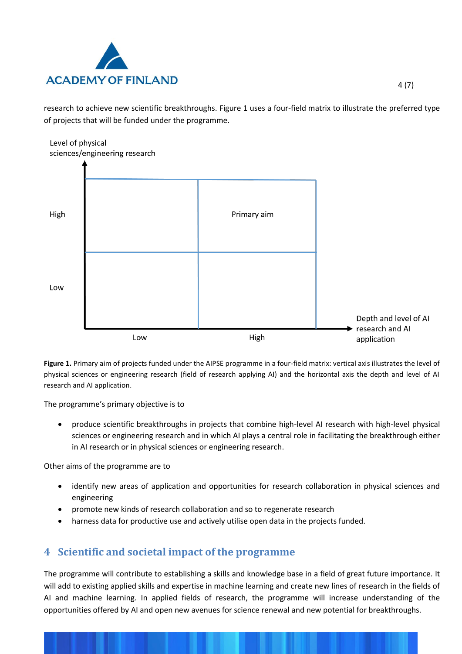

research to achieve new scientific breakthroughs. Figure 1 uses a four-field matrix to illustrate the preferred type of projects that will be funded under the programme.



**Figure 1.** Primary aim of projects funded under the AIPSE programme in a four-field matrix: vertical axis illustrates the level of physical sciences or engineering research (field of research applying AI) and the horizontal axis the depth and level of AI research and AI application.

The programme's primary objective is to

• produce scientific breakthroughs in projects that combine high-level AI research with high-level physical sciences or engineering research and in which AI plays a central role in facilitating the breakthrough either in AI research or in physical sciences or engineering research.

Other aims of the programme are to

- identify new areas of application and opportunities for research collaboration in physical sciences and engineering
- promote new kinds of research collaboration and so to regenerate research
- harness data for productive use and actively utilise open data in the projects funded.

## **4 Scientific and societal impact of the programme**

The programme will contribute to establishing a skills and knowledge base in a field of great future importance. It will add to existing applied skills and expertise in machine learning and create new lines of research in the fields of AI and machine learning. In applied fields of research, the programme will increase understanding of the opportunities offered by AI and open new avenues for science renewal and new potential for breakthroughs.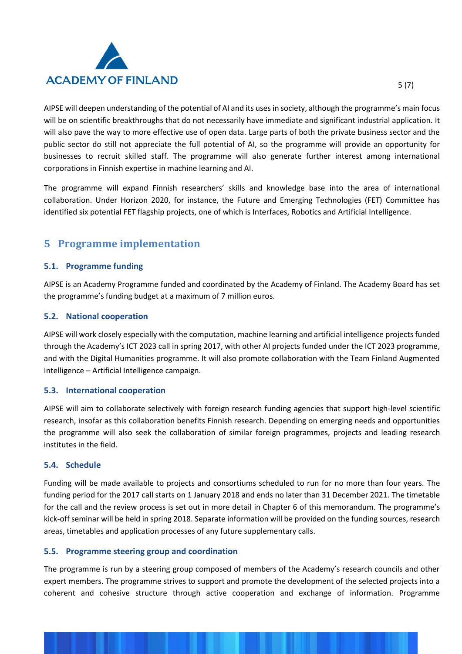

AIPSE will deepen understanding of the potential of AI and its uses in society, although the programme's main focus will be on scientific breakthroughs that do not necessarily have immediate and significant industrial application. It will also pave the way to more effective use of open data. Large parts of both the private business sector and the public sector do still not appreciate the full potential of AI, so the programme will provide an opportunity for businesses to recruit skilled staff. The programme will also generate further interest among international corporations in Finnish expertise in machine learning and AI.

The programme will expand Finnish researchers' skills and knowledge base into the area of international collaboration. Under Horizon 2020, for instance, the Future and Emerging Technologies (FET) Committee has identified six potential FET flagship projects, one of which is Interfaces, Robotics and Artificial Intelligence.

## **5 Programme implementation**

#### **5.1. Programme funding**

AIPSE is an Academy Programme funded and coordinated by the Academy of Finland. The Academy Board has set the programme's funding budget at a maximum of 7 million euros.

#### **5.2. National cooperation**

AIPSE will work closely especially with the computation, machine learning and artificial intelligence projects funded through the Academy's ICT 2023 call in spring 2017, with other AI projects funded under the ICT 2023 programme, and with the Digital Humanities programme. It will also promote collaboration with the Team Finland Augmented Intelligence – Artificial Intelligence campaign.

#### **5.3. International cooperation**

AIPSE will aim to collaborate selectively with foreign research funding agencies that support high-level scientific research, insofar as this collaboration benefits Finnish research. Depending on emerging needs and opportunities the programme will also seek the collaboration of similar foreign programmes, projects and leading research institutes in the field.

#### **5.4. Schedule**

Funding will be made available to projects and consortiums scheduled to run for no more than four years. The funding period for the 2017 call starts on 1 January 2018 and ends no later than 31 December 2021. The timetable for the call and the review process is set out in more detail in Chapter 6 of this memorandum. The programme's kick-off seminar will be held in spring 2018. Separate information will be provided on the funding sources, research areas, timetables and application processes of any future supplementary calls.

#### **5.5. Programme steering group and coordination**

The programme is run by a steering group composed of members of the Academy's research councils and other expert members. The programme strives to support and promote the development of the selected projects into a coherent and cohesive structure through active cooperation and exchange of information. Programme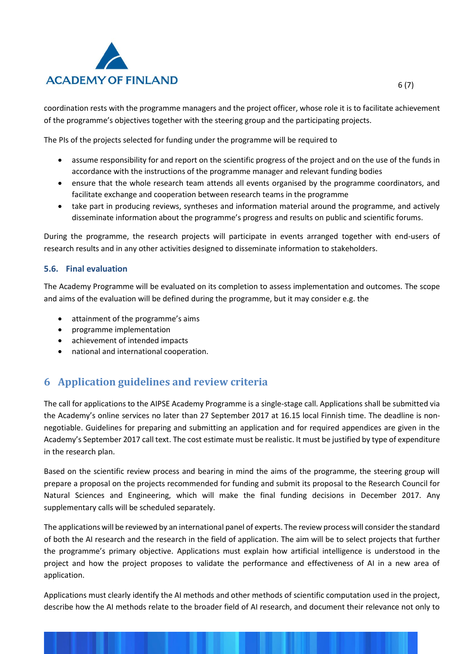

coordination rests with the programme managers and the project officer, whose role it is to facilitate achievement of the programme's objectives together with the steering group and the participating projects.

The PIs of the projects selected for funding under the programme will be required to

- assume responsibility for and report on the scientific progress of the project and on the use of the funds in accordance with the instructions of the programme manager and relevant funding bodies
- ensure that the whole research team attends all events organised by the programme coordinators, and facilitate exchange and cooperation between research teams in the programme
- take part in producing reviews, syntheses and information material around the programme, and actively disseminate information about the programme's progress and results on public and scientific forums.

During the programme, the research projects will participate in events arranged together with end-users of research results and in any other activities designed to disseminate information to stakeholders.

#### **5.6. Final evaluation**

The Academy Programme will be evaluated on its completion to assess implementation and outcomes. The scope and aims of the evaluation will be defined during the programme, but it may consider e.g. the

- attainment of the programme's aims
- programme implementation
- achievement of intended impacts
- national and international cooperation.

# **6 Application guidelines and review criteria**

The call for applications to the AIPSE Academy Programme is a single-stage call. Applications shall be submitted via the Academy's online services no later than 27 September 2017 at 16.15 local Finnish time. The deadline is nonnegotiable. Guidelines for preparing and submitting an application and for required appendices are given in the Academy's September 2017 call text. The cost estimate must be realistic. It must be justified by type of expenditure in the research plan.

Based on the scientific review process and bearing in mind the aims of the programme, the steering group will prepare a proposal on the projects recommended for funding and submit its proposal to the Research Council for Natural Sciences and Engineering, which will make the final funding decisions in December 2017. Any supplementary calls will be scheduled separately.

The applications will be reviewed by an international panel of experts. The review process will consider the standard of both the AI research and the research in the field of application. The aim will be to select projects that further the programme's primary objective. Applications must explain how artificial intelligence is understood in the project and how the project proposes to validate the performance and effectiveness of AI in a new area of application.

Applications must clearly identify the AI methods and other methods of scientific computation used in the project, describe how the AI methods relate to the broader field of AI research, and document their relevance not only to